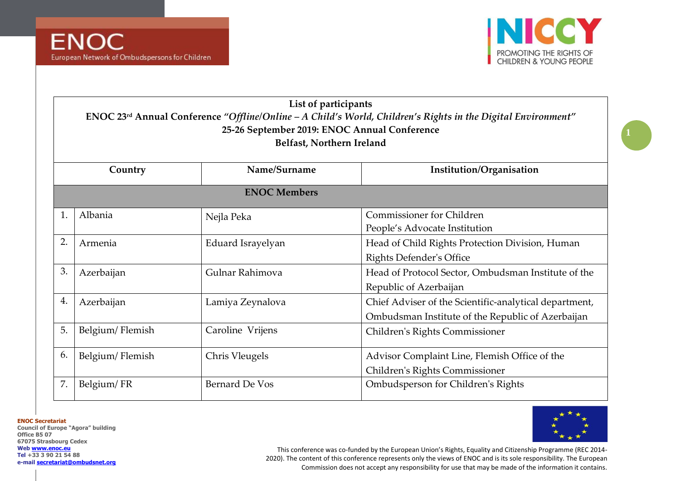

|    | List of participants                                                                                                      |                           |                                                        |  |  |
|----|---------------------------------------------------------------------------------------------------------------------------|---------------------------|--------------------------------------------------------|--|--|
|    | ENOC 23 <sup>rd</sup> Annual Conference "Offline/Online $-A$ Child's World, Children's Rights in the Digital Environment" |                           |                                                        |  |  |
|    | 25-26 September 2019: ENOC Annual Conference                                                                              |                           |                                                        |  |  |
|    |                                                                                                                           | Belfast, Northern Ireland |                                                        |  |  |
|    |                                                                                                                           |                           |                                                        |  |  |
|    | Country                                                                                                                   | Name/Surname              | Institution/Organisation                               |  |  |
|    |                                                                                                                           | <b>ENOC Members</b>       |                                                        |  |  |
| 1. | Albania                                                                                                                   | Nejla Peka                | <b>Commissioner for Children</b>                       |  |  |
|    |                                                                                                                           |                           | People's Advocate Institution                          |  |  |
| 2. | Armenia                                                                                                                   | Eduard Israyelyan         | Head of Child Rights Protection Division, Human        |  |  |
|    |                                                                                                                           |                           | <b>Rights Defender's Office</b>                        |  |  |
| 3. | Azerbaijan                                                                                                                | Gulnar Rahimova           | Head of Protocol Sector, Ombudsman Institute of the    |  |  |
|    |                                                                                                                           |                           | Republic of Azerbaijan                                 |  |  |
| 4. | Azerbaijan                                                                                                                | Lamiya Zeynalova          | Chief Adviser of the Scientific-analytical department, |  |  |
|    |                                                                                                                           |                           | Ombudsman Institute of the Republic of Azerbaijan      |  |  |
| 5. | Belgium/Flemish                                                                                                           | Caroline Vrijens          | Children's Rights Commissioner                         |  |  |
|    |                                                                                                                           |                           |                                                        |  |  |
| 6. | Belgium/Flemish                                                                                                           | Chris Vleugels            | Advisor Complaint Line, Flemish Office of the          |  |  |
|    |                                                                                                                           |                           | Children's Rights Commissioner                         |  |  |
| 7. | Belgium/FR                                                                                                                | <b>Bernard De Vos</b>     | Ombudsperson for Children's Rights                     |  |  |
|    |                                                                                                                           |                           |                                                        |  |  |

**ENOC Secretariat**

**Council of Europe "Agora" building Office B5 07 67075 Strasbourg Cedex Web [www.enoc.eu](http://www.enoc.eu/) Tel +33 3 90 21 54 88 e-mail [secretariat@ombudsnet.org](mailto:secretariat@ombudsnet.org)**

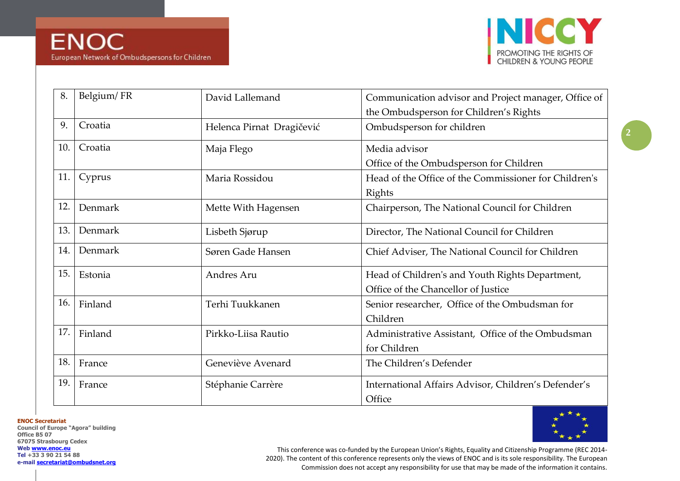

| 8.  | Belgium/FR | David Lallemand           | Communication advisor and Project manager, Office of                                   |
|-----|------------|---------------------------|----------------------------------------------------------------------------------------|
| 9.  | Croatia    | Helenca Pirnat Dragičević | the Ombudsperson for Children's Rights<br>Ombudsperson for children                    |
| 10. | Croatia    | Maja Flego                | Media advisor<br>Office of the Ombudsperson for Children                               |
| 11. | Cyprus     | Maria Rossidou            | Head of the Office of the Commissioner for Children's<br>Rights                        |
| 12. | Denmark    | Mette With Hagensen       | Chairperson, The National Council for Children                                         |
| 13. | Denmark    | Lisbeth Sjørup            | Director, The National Council for Children                                            |
| 14. | Denmark    | Søren Gade Hansen         | Chief Adviser, The National Council for Children                                       |
| 15. | Estonia    | Andres Aru                | Head of Children's and Youth Rights Department,<br>Office of the Chancellor of Justice |
| 16. | Finland    | Terhi Tuukkanen           | Senior researcher, Office of the Ombudsman for<br>Children                             |
| 17. | Finland    | Pirkko-Liisa Rautio       | Administrative Assistant, Office of the Ombudsman<br>for Children                      |
| 18. | France     | Geneviève Avenard         | The Children's Defender                                                                |
| 19. | France     | Stéphanie Carrère         | International Affairs Advisor, Children's Defender's<br>Office                         |

**ENOC Secretariat**

**Council of Europe "Agora" building Office B5 07 67075 Strasbourg Cedex Web [www.enoc.eu](http://www.enoc.eu/) Tel +33 3 90 21 54 88 e-mail [secretariat@ombudsnet.org](mailto:secretariat@ombudsnet.org)**

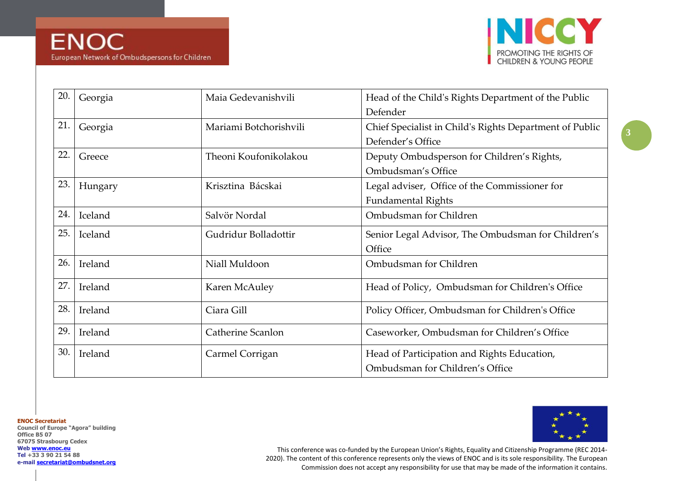

| 20. | Georgia | Maia Gedevanishvili    | Head of the Child's Rights Department of the Public<br>Defender                |
|-----|---------|------------------------|--------------------------------------------------------------------------------|
| 21. | Georgia | Mariami Botchorishvili | Chief Specialist in Child's Rights Department of Public<br>Defender's Office   |
| 22. | Greece  | Theoni Koufonikolakou  | Deputy Ombudsperson for Children's Rights,<br>Ombudsman's Office               |
| 23. | Hungary | Krisztina Bácskai      | Legal adviser, Office of the Commissioner for<br><b>Fundamental Rights</b>     |
| 24. | Iceland | Salvör Nordal          | Ombudsman for Children                                                         |
| 25. | Iceland | Gudridur Bolladottir   | Senior Legal Advisor, The Ombudsman for Children's<br>Office                   |
| 26. | Ireland | Niall Muldoon          | Ombudsman for Children                                                         |
| 27. | Ireland | Karen McAuley          | Head of Policy, Ombudsman for Children's Office                                |
| 28. | Ireland | Ciara Gill             | Policy Officer, Ombudsman for Children's Office                                |
| 29. | Ireland | Catherine Scanlon      | Caseworker, Ombudsman for Children's Office                                    |
| 30. | Ireland | Carmel Corrigan        | Head of Participation and Rights Education,<br>Ombudsman for Children's Office |

**ENOC Secretariat**

**Council of Europe "Agora" building Office B5 07 67075 Strasbourg Cedex Web [www.enoc.eu](http://www.enoc.eu/) Tel +33 3 90 21 54 88 e-mail [secretariat@ombudsnet.org](mailto:secretariat@ombudsnet.org)**

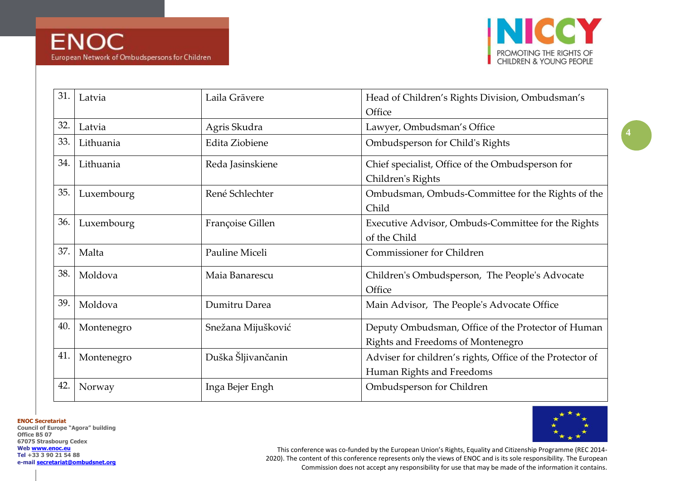

| 31. | Latvia     | Laila Grāvere      | Head of Children's Rights Division, Ombudsman's<br>Office                               |
|-----|------------|--------------------|-----------------------------------------------------------------------------------------|
| 32. | Latvia     | Agris Skudra       | Lawyer, Ombudsman's Office                                                              |
| 33. | Lithuania  | Edita Ziobiene     | Ombudsperson for Child's Rights                                                         |
| 34. | Lithuania  | Reda Jasinskiene   | Chief specialist, Office of the Ombudsperson for<br>Children's Rights                   |
| 35. | Luxembourg | René Schlechter    | Ombudsman, Ombuds-Committee for the Rights of the<br>Child                              |
| 36. | Luxembourg | Françoise Gillen   | Executive Advisor, Ombuds-Committee for the Rights<br>of the Child                      |
| 37. | Malta      | Pauline Miceli     | <b>Commissioner for Children</b>                                                        |
| 38. | Moldova    | Maia Banarescu     | Children's Ombudsperson, The People's Advocate<br>Office                                |
| 39. | Moldova    | Dumitru Darea      | Main Advisor, The People's Advocate Office                                              |
| 40. | Montenegro | Snežana Mijušković | Deputy Ombudsman, Office of the Protector of Human<br>Rights and Freedoms of Montenegro |
| 41. | Montenegro | Duška Šljivančanin | Adviser for children's rights, Office of the Protector of<br>Human Rights and Freedoms  |
| 42. | Norway     | Inga Bejer Engh    | Ombudsperson for Children                                                               |

**ENOC Secretariat**

**Council of Europe "Agora" building Office B5 07 67075 Strasbourg Cedex Web [www.enoc.eu](http://www.enoc.eu/) Tel +33 3 90 21 54 88 e-mail [secretariat@ombudsnet.org](mailto:secretariat@ombudsnet.org)**

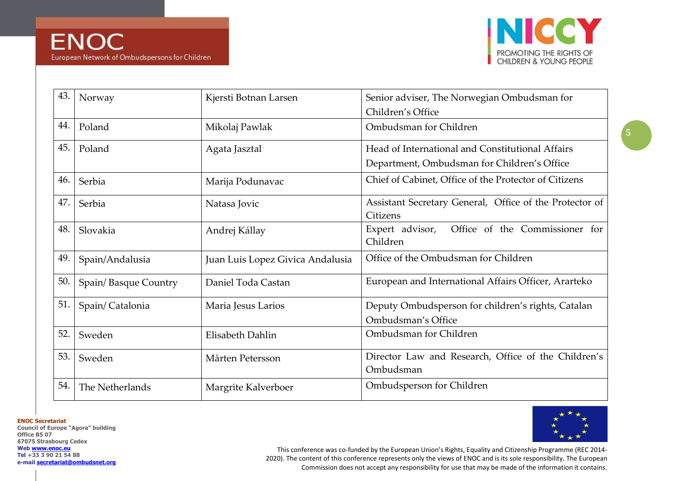

| 43. | Norway               | Kjersti Botnan Larsen            | Senior adviser, The Norwegian Ombudsman for                              |
|-----|----------------------|----------------------------------|--------------------------------------------------------------------------|
|     |                      |                                  | Children's Office                                                        |
| 44. | Poland               | Mikolaj Pawlak                   | Ombudsman for Children                                                   |
| 45. | Poland               | Agata Jasztal                    | Head of International and Constitutional Affairs                         |
|     |                      |                                  | Department, Ombudsman for Children's Office                              |
| 46. | Serbia               | Marija Podunavac                 | Chief of Cabinet, Office of the Protector of Citizens                    |
| 47. | Serbia               | Natasa Jovic                     | Assistant Secretary General, Office of the Protector of<br>Citizens      |
| 48. | Slovakia             | Andrej Kállay                    | Office of the Commissioner for<br>Expert advisor,<br>Children            |
| 49. | Spain/Andalusia      | Juan Luis Lopez Givica Andalusia | Office of the Ombudsman for Children                                     |
| 50. | Spain/Basque Country | Daniel Toda Castan               | European and International Affairs Officer, Ararteko                     |
| 51. | Spain/Catalonia      | Maria Jesus Larios               | Deputy Ombudsperson for children's rights, Catalan<br>Ombudsman's Office |
| 52. | Sweden               | Elisabeth Dahlin                 | Ombudsman for Children                                                   |
| 53. | Sweden               | Mårten Petersson                 | Director Law and Research, Office of the Children's<br>Ombudsman         |
| 54. | The Netherlands      | Margrite Kalverboer              | Ombudsperson for Children                                                |

**ENOC Secretariat**

**Council of Europe "Agora" building Office B5 07 67075 Strasbourg Cedex Web [www.enoc.eu](http://www.enoc.eu/) Tel +33 3 90 21 54 88 e-mail [secretariat@ombudsnet.org](mailto:secretariat@ombudsnet.org)**

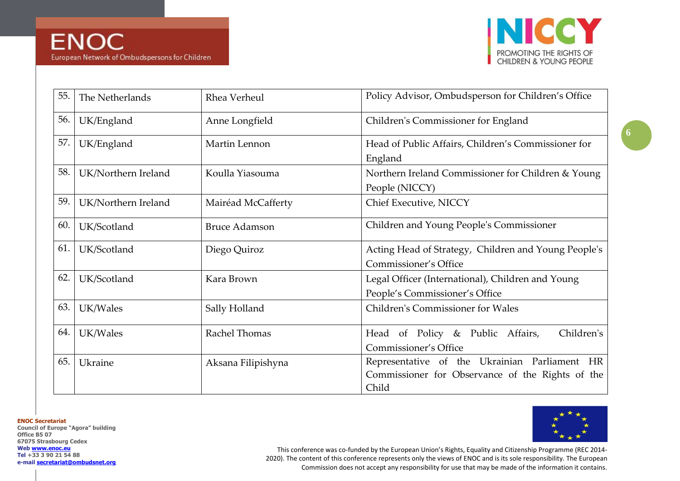

| 55. | The Netherlands     | Rhea Verheul         | Policy Advisor, Ombudsperson for Children's Office                                                         |
|-----|---------------------|----------------------|------------------------------------------------------------------------------------------------------------|
| 56. | UK/England          | Anne Longfield       | Children's Commissioner for England                                                                        |
| 57. | UK/England          | Martin Lennon        | Head of Public Affairs, Children's Commissioner for<br>England                                             |
| 58. | UK/Northern Ireland | Koulla Yiasouma      | Northern Ireland Commissioner for Children & Young<br>People (NICCY)                                       |
| 59. | UK/Northern Ireland | Mairéad McCafferty   | Chief Executive, NICCY                                                                                     |
| 60. | UK/Scotland         | <b>Bruce Adamson</b> | Children and Young People's Commissioner                                                                   |
| 61. | UK/Scotland         | Diego Quiroz         | Acting Head of Strategy, Children and Young People's<br><b>Commissioner's Office</b>                       |
| 62. | UK/Scotland         | Kara Brown           | Legal Officer (International), Children and Young<br>People's Commissioner's Office                        |
| 63. | UK/Wales            | Sally Holland        | Children's Commissioner for Wales                                                                          |
| 64. | UK/Wales            | Rachel Thomas        | Children's<br>Head of Policy & Public Affairs,<br>Commissioner's Office                                    |
| 65. | Ukraine             | Aksana Filipishyna   | Representative of the Ukrainian Parliament HR<br>Commissioner for Observance of the Rights of the<br>Child |

**ENOC Secretariat**

**Council of Europe "Agora" building Office B5 07 67075 Strasbourg Cedex Web [www.enoc.eu](http://www.enoc.eu/) Tel +33 3 90 21 54 88 e-mail [secretariat@ombudsnet.org](mailto:secretariat@ombudsnet.org)**

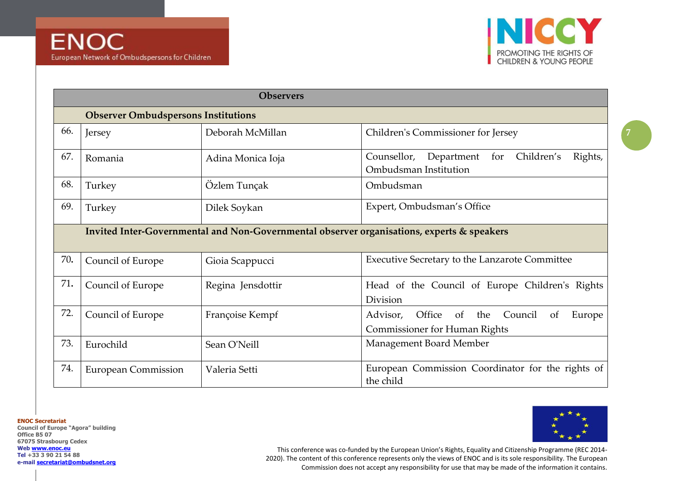

|     | <b>Observers</b>                                                                           |                   |                                                                                                               |  |
|-----|--------------------------------------------------------------------------------------------|-------------------|---------------------------------------------------------------------------------------------------------------|--|
|     | <b>Observer Ombudspersons Institutions</b>                                                 |                   |                                                                                                               |  |
| 66. | Jersey                                                                                     | Deborah McMillan  | Children's Commissioner for Jersey                                                                            |  |
| 67. | Romania                                                                                    | Adina Monica Ioja | Counsellor,<br>Department<br>Children's<br>Rights,<br>for<br>Ombudsman Institution                            |  |
| 68. | Turkey                                                                                     | Özlem Tunçak      | Ombudsman                                                                                                     |  |
| 69. | Turkey                                                                                     | Dilek Soykan      | Expert, Ombudsman's Office                                                                                    |  |
|     | Invited Inter-Governmental and Non-Governmental observer organisations, experts & speakers |                   |                                                                                                               |  |
| 70. | Council of Europe                                                                          | Gioia Scappucci   | Executive Secretary to the Lanzarote Committee                                                                |  |
| 71. | Council of Europe                                                                          | Regina Jensdottir | Head of the Council of Europe Children's Rights<br>Division                                                   |  |
| 72. | Council of Europe                                                                          | Françoise Kempf   | Council<br>Office<br>the<br>Europe<br>Advisor,<br>of<br><sub>of</sub><br><b>Commissioner for Human Rights</b> |  |
| 73. | Eurochild                                                                                  | Sean O'Neill      | Management Board Member                                                                                       |  |
| 74. | <b>European Commission</b>                                                                 | Valeria Setti     | European Commission Coordinator for the rights of<br>the child                                                |  |

**ENOC Secretariat**

**Council of Europe "Agora" building Office B5 07 67075 Strasbourg Cedex Web [www.enoc.eu](http://www.enoc.eu/) Tel +33 3 90 21 54 88 e-mail [secretariat@ombudsnet.org](mailto:secretariat@ombudsnet.org)**

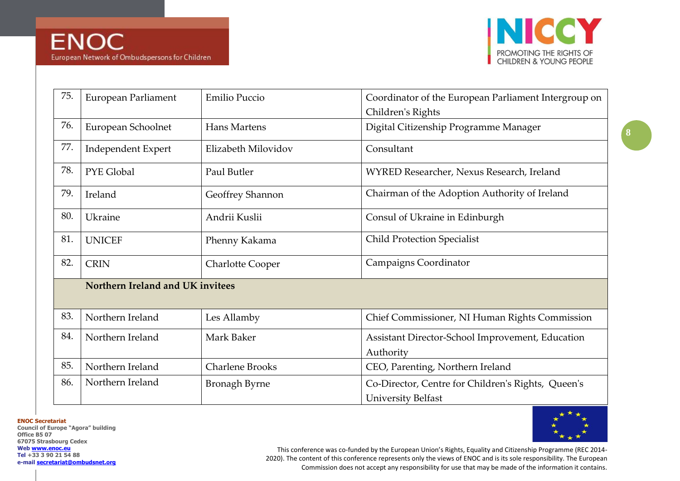

| 75. | European Parliament              | Emilio Puccio           | Coordinator of the European Parliament Intergroup on |
|-----|----------------------------------|-------------------------|------------------------------------------------------|
|     |                                  |                         | Children's Rights                                    |
| 76. | European Schoolnet               | Hans Martens            | Digital Citizenship Programme Manager                |
| 77. | <b>Independent Expert</b>        | Elizabeth Milovidov     | Consultant                                           |
| 78. | PYE Global                       | Paul Butler             | WYRED Researcher, Nexus Research, Ireland            |
| 79. | Ireland                          | Geoffrey Shannon        | Chairman of the Adoption Authority of Ireland        |
| 80. | Ukraine                          | Andrii Kuslii           | Consul of Ukraine in Edinburgh                       |
| 81. | <b>UNICEF</b>                    | Phenny Kakama           | <b>Child Protection Specialist</b>                   |
| 82. | <b>CRIN</b>                      | <b>Charlotte Cooper</b> | Campaigns Coordinator                                |
|     | Northern Ireland and UK invitees |                         |                                                      |
|     |                                  |                         |                                                      |
| 83. | Northern Ireland                 | Les Allamby             | Chief Commissioner, NI Human Rights Commission       |
| 84. | Northern Ireland                 | Mark Baker              | Assistant Director-School Improvement, Education     |
|     |                                  |                         | Authority                                            |
| 85. | Northern Ireland                 | <b>Charlene Brooks</b>  | CEO, Parenting, Northern Ireland                     |
| 86. | Northern Ireland                 | <b>Bronagh Byrne</b>    | Co-Director, Centre for Children's Rights, Queen's   |
|     |                                  |                         | <b>University Belfast</b>                            |

**ENOC Secretariat**

**Council of Europe "Agora" building Office B5 07 67075 Strasbourg Cedex Web [www.enoc.eu](http://www.enoc.eu/) Tel +33 3 90 21 54 88 e-mail [secretariat@ombudsnet.org](mailto:secretariat@ombudsnet.org)**

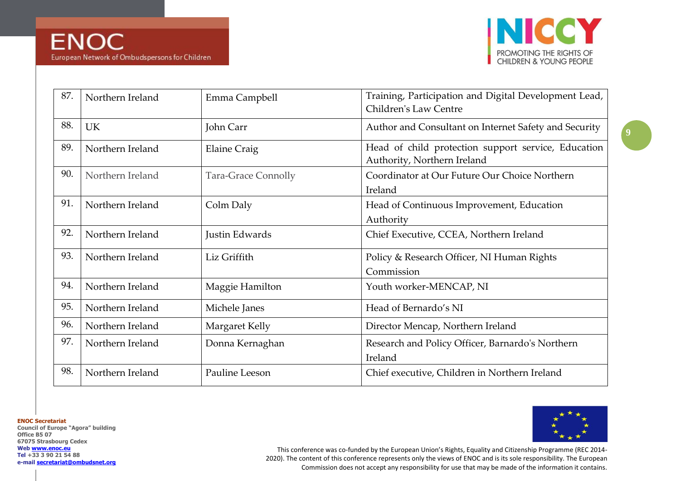

| 87. | Northern Ireland | Emma Campbell              | Training, Participation and Digital Development Lead,<br>Children's Law Centre     |
|-----|------------------|----------------------------|------------------------------------------------------------------------------------|
| 88. | <b>UK</b>        | John Carr                  | Author and Consultant on Internet Safety and Security                              |
| 89. | Northern Ireland | <b>Elaine Craig</b>        | Head of child protection support service, Education<br>Authority, Northern Ireland |
| 90. | Northern Ireland | <b>Tara-Grace Connolly</b> | Coordinator at Our Future Our Choice Northern<br>Ireland                           |
| 91. | Northern Ireland | Colm Daly                  | Head of Continuous Improvement, Education<br>Authority                             |
| 92. | Northern Ireland | Justin Edwards             | Chief Executive, CCEA, Northern Ireland                                            |
| 93. | Northern Ireland | Liz Griffith               | Policy & Research Officer, NI Human Rights<br>Commission                           |
| 94. | Northern Ireland | Maggie Hamilton            | Youth worker-MENCAP, NI                                                            |
| 95. | Northern Ireland | Michele Janes              | Head of Bernardo's NI                                                              |
| 96. | Northern Ireland | Margaret Kelly             | Director Mencap, Northern Ireland                                                  |
| 97. | Northern Ireland | Donna Kernaghan            | Research and Policy Officer, Barnardo's Northern<br>Ireland                        |
| 98. | Northern Ireland | Pauline Leeson             | Chief executive, Children in Northern Ireland                                      |

**ENOC Secretariat**

**Council of Europe "Agora" building Office B5 07 67075 Strasbourg Cedex Web [www.enoc.eu](http://www.enoc.eu/) Tel +33 3 90 21 54 88 e-mail [secretariat@ombudsnet.org](mailto:secretariat@ombudsnet.org)**

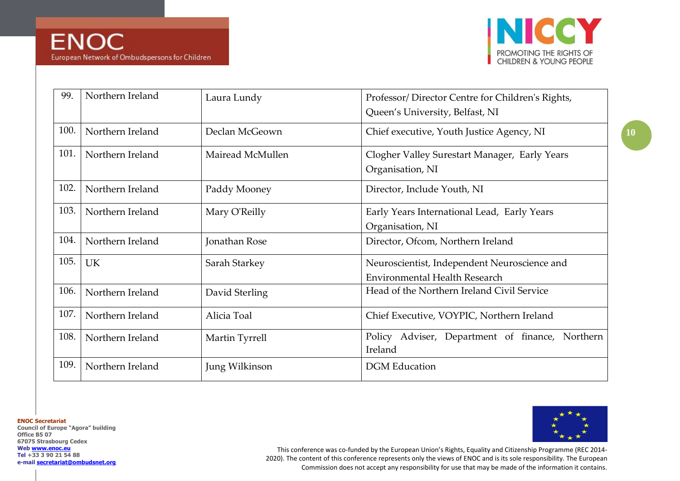

| 99.  | Northern Ireland | Laura Lundy      | Professor/Director Centre for Children's Rights,<br>Queen's University, Belfast, NI  |
|------|------------------|------------------|--------------------------------------------------------------------------------------|
| 100. | Northern Ireland | Declan McGeown   | Chief executive, Youth Justice Agency, NI                                            |
| 101. | Northern Ireland | Mairead McMullen | Clogher Valley Surestart Manager, Early Years<br>Organisation, NI                    |
| 102. | Northern Ireland | Paddy Mooney     | Director, Include Youth, NI                                                          |
| 103. | Northern Ireland | Mary O'Reilly    | Early Years International Lead, Early Years<br>Organisation, NI                      |
| 104. | Northern Ireland | Jonathan Rose    | Director, Ofcom, Northern Ireland                                                    |
| 105. | <b>UK</b>        | Sarah Starkey    | Neuroscientist, Independent Neuroscience and<br><b>Environmental Health Research</b> |
| 106. | Northern Ireland | David Sterling   | Head of the Northern Ireland Civil Service                                           |
| 107. | Northern Ireland | Alicia Toal      | Chief Executive, VOYPIC, Northern Ireland                                            |
| 108. | Northern Ireland | Martin Tyrrell   | Adviser, Department of finance, Northern<br>Policy<br>Ireland                        |
| 109. | Northern Ireland | Jung Wilkinson   | <b>DGM</b> Education                                                                 |

**ENOC Secretariat**

**Council of Europe "Agora" building Office B5 07 67075 Strasbourg Cedex Web [www.enoc.eu](http://www.enoc.eu/) Tel +33 3 90 21 54 88 e-mail [secretariat@ombudsnet.org](mailto:secretariat@ombudsnet.org)**

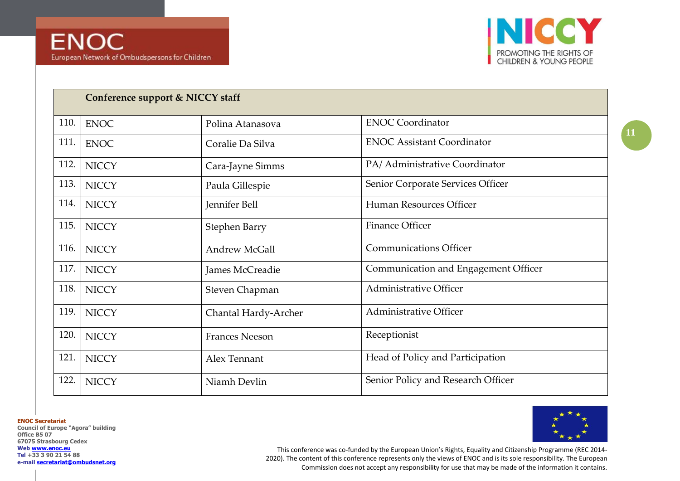

|      | Conference support & NICCY staff |                       |                                      |
|------|----------------------------------|-----------------------|--------------------------------------|
| 110. | <b>ENOC</b>                      | Polina Atanasova      | <b>ENOC Coordinator</b>              |
| 111. | <b>ENOC</b>                      | Coralie Da Silva      | <b>ENOC Assistant Coordinator</b>    |
| 112. | <b>NICCY</b>                     | Cara-Jayne Simms      | PA/ Administrative Coordinator       |
| 113. | <b>NICCY</b>                     | Paula Gillespie       | Senior Corporate Services Officer    |
| 114. | <b>NICCY</b>                     | Jennifer Bell         | Human Resources Officer              |
| 115. | <b>NICCY</b>                     | <b>Stephen Barry</b>  | <b>Finance Officer</b>               |
| 116. | <b>NICCY</b>                     | <b>Andrew McGall</b>  | <b>Communications Officer</b>        |
| 117. | <b>NICCY</b>                     | James McCreadie       | Communication and Engagement Officer |
| 118. | <b>NICCY</b>                     | Steven Chapman        | <b>Administrative Officer</b>        |
| 119. | <b>NICCY</b>                     | Chantal Hardy-Archer  | Administrative Officer               |
| 120. | <b>NICCY</b>                     | <b>Frances Neeson</b> | Receptionist                         |
| 121. | <b>NICCY</b>                     | Alex Tennant          | Head of Policy and Participation     |
| 122. | <b>NICCY</b>                     | Niamh Devlin          | Senior Policy and Research Officer   |

**ENOC Secretariat**

**Council of Europe "Agora" building Office B5 07 67075 Strasbourg Cedex Web [www.enoc.eu](http://www.enoc.eu/) Tel +33 3 90 21 54 88 e-mail [secretariat@ombudsnet.org](mailto:secretariat@ombudsnet.org)**